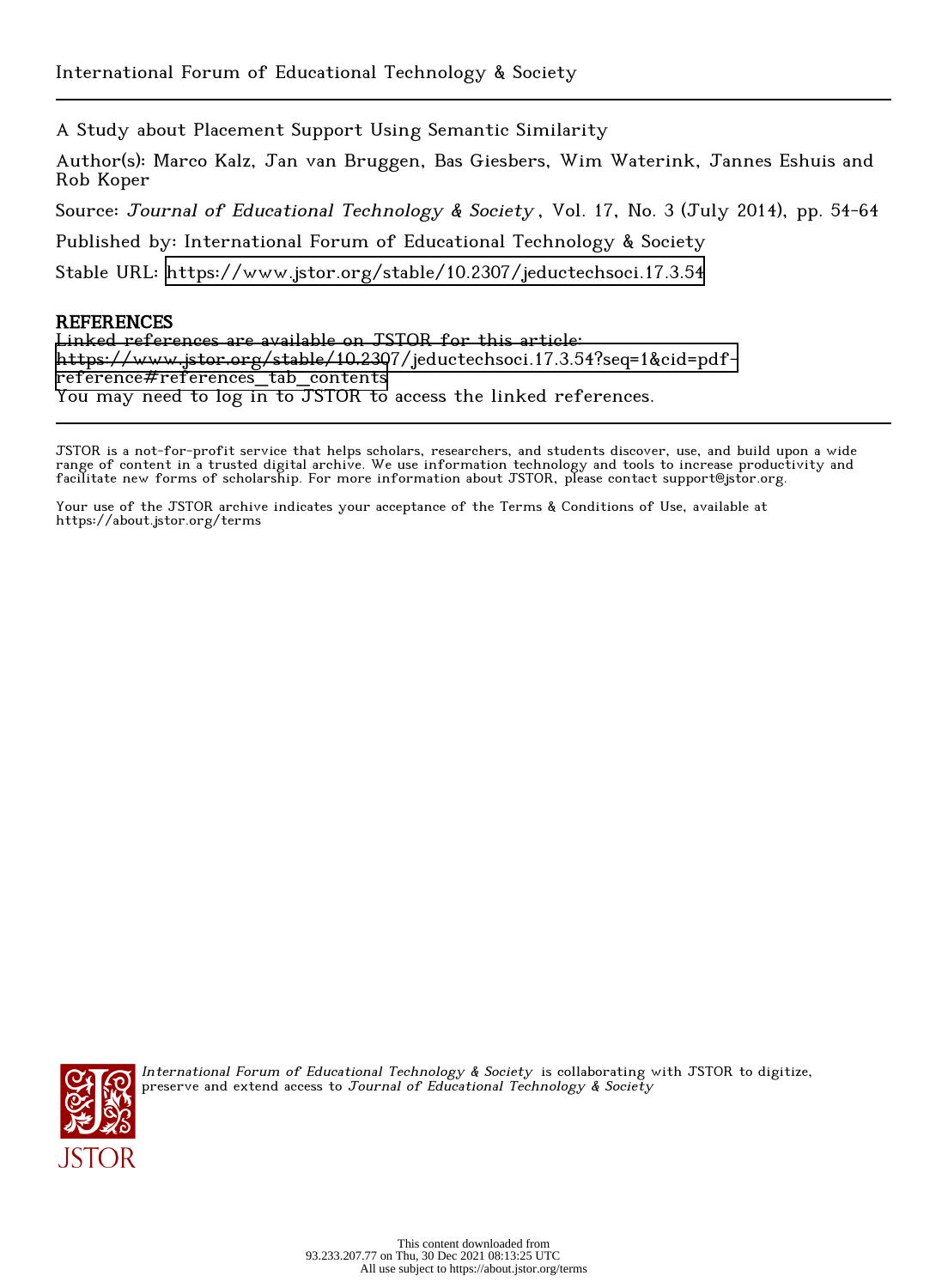A Study about Placement Support Using Semantic Similarity

Author(s): Marco Kalz, Jan van Bruggen, Bas Giesbers, Wim Waterink, Jannes Eshuis and Rob Koper

Source: Journal of Educational Technology & Society, Vol. 17, No. 3 (July 2014), pp. 54-64

Published by: International Forum of Educational Technology & Society

Stable URL:<https://www.jstor.org/stable/10.2307/jeductechsoci.17.3.54>

# **REFERENCES**

Linked references are available on JSTOR for this article: [https://www.jstor.org/stable/10.2307/jeductechsoci.17.3.54?seq=1&cid=pdf](https://www.jstor.org/stable/10.2307/jeductechsoci.17.3.54?seq=1&cid=pdf-reference#references_tab_contents)[reference#references\\_tab\\_contents](https://www.jstor.org/stable/10.2307/jeductechsoci.17.3.54?seq=1&cid=pdf-reference#references_tab_contents) You may need to log in to JSTOR to access the linked references.

JSTOR is a not-for-profit service that helps scholars, researchers, and students discover, use, and build upon a wide range of content in a trusted digital archive. We use information technology and tools to increase productivity and facilitate new forms of scholarship. For more information about JSTOR, please contact support@jstor.org.

Your use of the JSTOR archive indicates your acceptance of the Terms & Conditions of Use, available at https://about.jstor.org/terms



International Forum of Educational Technology & Society is collaborating with JSTOR to digitize, preserve and extend access to Journal of Educational Technology & Society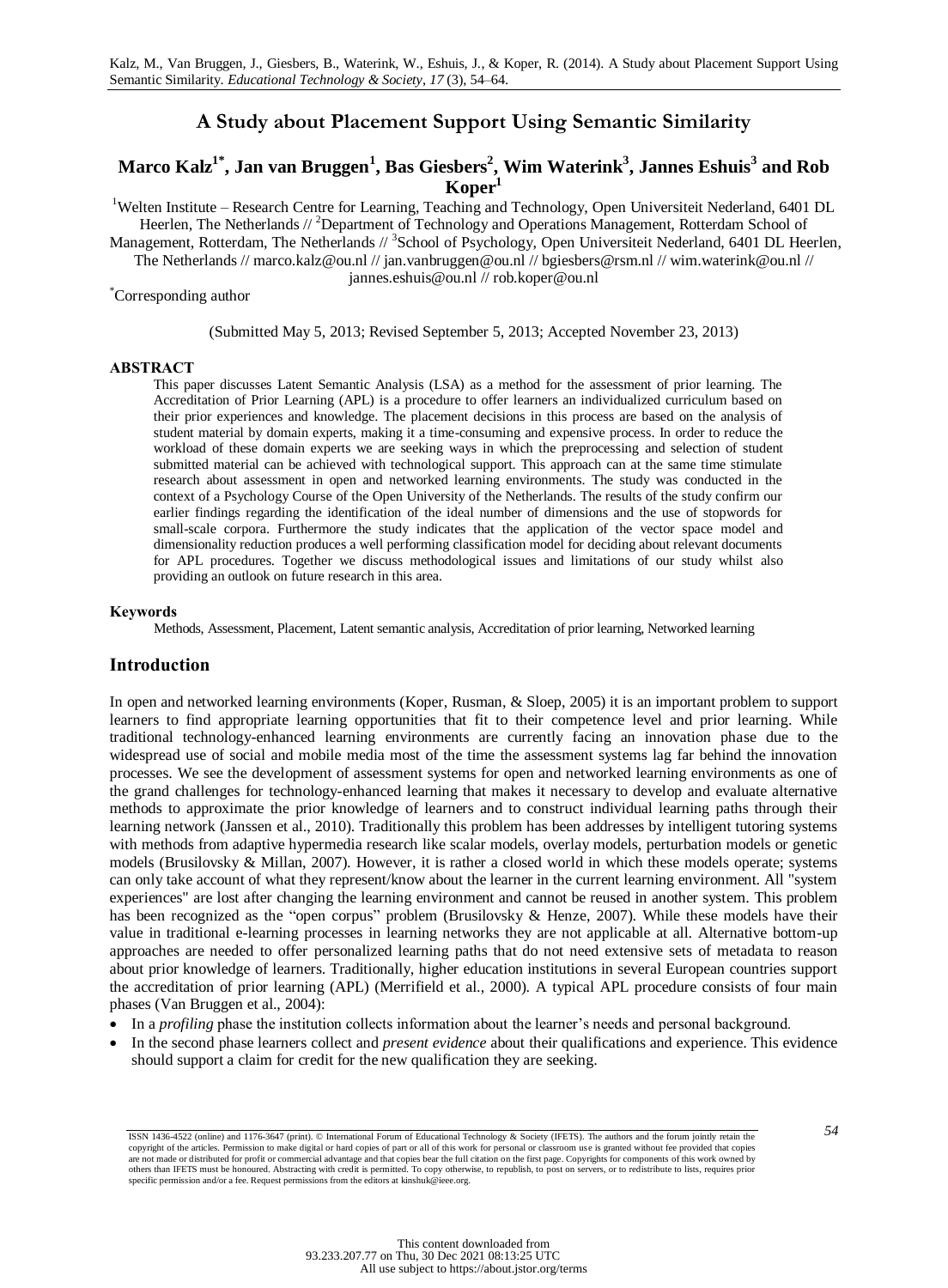# **A Study about Placement Support Using Semantic Similarity**

# **Marco Kalz1\* , Jan van Bruggen<sup>1</sup> , Bas Giesbers<sup>2</sup> , Wim Waterink<sup>3</sup> , Jannes Eshuis<sup>3</sup> and Rob Koper<sup>1</sup>**

<sup>1</sup>Welten Institute – Research Centre for Learning, Teaching and Technology, Open Universiteit Nederland, 6401 DL Heerlen, The Netherlands //<sup>2</sup>Department of Technology and Operations Management, Rotterdam School of

Management, Rotterdam, The Netherlands //<sup>3</sup>School of Psychology, Open Universiteit Nederland, 6401 DL Heerlen,

The Netherlands // marco.kalz@ou.nl // jan.vanbruggen@ou.nl // bgiesbers@rsm.nl // wim.waterink@ou.nl //

jannes.eshuis@ou.nl // rob.koper@ou.nl

#### \*Corresponding author

### (Submitted May 5, 2013; Revised September 5, 2013; Accepted November 23, 2013)

### **ABSTRACT**

This paper discusses Latent Semantic Analysis (LSA) as a method for the assessment of prior learning. The Accreditation of Prior Learning (APL) is a procedure to offer learners an individualized curriculum based on their prior experiences and knowledge. The placement decisions in this process are based on the analysis of student material by domain experts, making it a time-consuming and expensive process. In order to reduce the workload of these domain experts we are seeking ways in which the preprocessing and selection of student submitted material can be achieved with technological support. This approach can at the same time stimulate research about assessment in open and networked learning environments. The study was conducted in the context of a Psychology Course of the Open University of the Netherlands. The results of the study confirm our earlier findings regarding the identification of the ideal number of dimensions and the use of stopwords for small-scale corpora. Furthermore the study indicates that the application of the vector space model and dimensionality reduction produces a well performing classification model for deciding about relevant documents for APL procedures. Together we discuss methodological issues and limitations of our study whilst also providing an outlook on future research in this area.

#### **Keywords**

Methods, Assessment, Placement, Latent semantic analysis, Accreditation of prior learning, Networked learning

### **Introduction**

In open and networked learning environments (Koper, Rusman, & Sloep, 2005) it is an important problem to support learners to find appropriate learning opportunities that fit to their competence level and prior learning. While traditional technology-enhanced learning environments are currently facing an innovation phase due to the widespread use of social and mobile media most of the time the assessment systems lag far behind the innovation processes. We see the development of assessment systems for open and networked learning environments as one of the grand challenges for technology-enhanced learning that makes it necessary to develop and evaluate alternative methods to approximate the prior knowledge of learners and to construct individual learning paths through their learning network (Janssen et al., 2010). Traditionally this problem has been addresses by intelligent tutoring systems with methods from adaptive hypermedia research like scalar models, overlay models, perturbation models or genetic models (Brusilovsky & Millan, 2007). However, it is rather a closed world in which these models operate; systems can only take account of what they represent/know about the learner in the current learning environment. All "system experiences" are lost after changing the learning environment and cannot be reused in another system. This problem has been recognized as the "open corpus" problem (Brusilovsky & Henze, 2007). While these models have their value in traditional e-learning processes in learning networks they are not applicable at all. Alternative bottom-up approaches are needed to offer personalized learning paths that do not need extensive sets of metadata to reason about prior knowledge of learners. Traditionally, higher education institutions in several European countries support the accreditation of prior learning (APL) (Merrifield et al., 2000). A typical APL procedure consists of four main phases (Van Bruggen et al., 2004):

- In a *profiling* phase the institution collects information about the learner's needs and personal background.
- In the second phase learners collect and *present evidence* about their qualifications and experience. This evidence should support a claim for credit for the new qualification they are seeking.

*<sup>54</sup>* ISSN 1436-4522 (online) and 1176-3647 (print). © International Forum of Educational Technology & Society (IFETS). The authors and the forum jointly retain the copyright of the articles. Permission to make digital or hard copies of part or all of this work for personal or classroom use is granted without fee provided that copies<br>are not made or distributed for profit or commercia specific permission and/or a fee. Request permissions from the editors at kinshuk@ieee.org.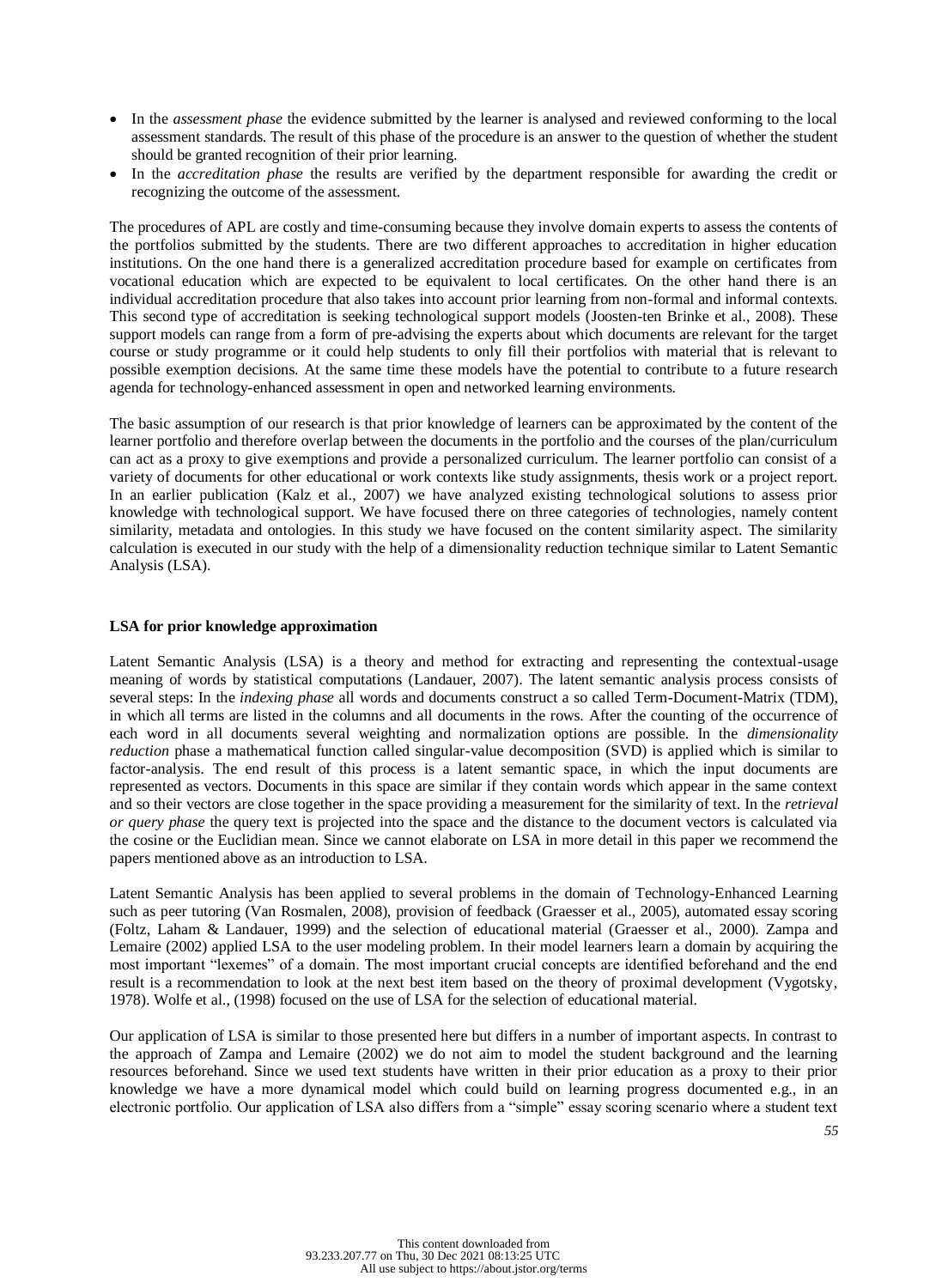- In the *assessment phase* the evidence submitted by the learner is analysed and reviewed conforming to the local assessment standards. The result of this phase of the procedure is an answer to the question of whether the student should be granted recognition of their prior learning.
- In the *accreditation phase* the results are verified by the department responsible for awarding the credit or recognizing the outcome of the assessment.

The procedures of APL are costly and time-consuming because they involve domain experts to assess the contents of the portfolios submitted by the students. There are two different approaches to accreditation in higher education institutions. On the one hand there is a generalized accreditation procedure based for example on certificates from vocational education which are expected to be equivalent to local certificates. On the other hand there is an individual accreditation procedure that also takes into account prior learning from non-formal and informal contexts. This second type of accreditation is seeking technological support models (Joosten-ten Brinke et al., 2008). These support models can range from a form of pre-advising the experts about which documents are relevant for the target course or study programme or it could help students to only fill their portfolios with material that is relevant to possible exemption decisions. At the same time these models have the potential to contribute to a future research agenda for technology-enhanced assessment in open and networked learning environments.

The basic assumption of our research is that prior knowledge of learners can be approximated by the content of the learner portfolio and therefore overlap between the documents in the portfolio and the courses of the plan/curriculum can act as a proxy to give exemptions and provide a personalized curriculum. The learner portfolio can consist of a variety of documents for other educational or work contexts like study assignments, thesis work or a project report. In an earlier publication (Kalz et al., 2007) we have analyzed existing technological solutions to assess prior knowledge with technological support. We have focused there on three categories of technologies, namely content similarity, metadata and ontologies. In this study we have focused on the content similarity aspect. The similarity calculation is executed in our study with the help of a dimensionality reduction technique similar to Latent Semantic Analysis (LSA).

## **LSA for prior knowledge approximation**

Latent Semantic Analysis (LSA) is a theory and method for extracting and representing the contextual-usage meaning of words by statistical computations (Landauer, 2007). The latent semantic analysis process consists of several steps: In the *indexing phase* all words and documents construct a so called Term-Document-Matrix (TDM), in which all terms are listed in the columns and all documents in the rows. After the counting of the occurrence of each word in all documents several weighting and normalization options are possible. In the *dimensionality reduction* phase a mathematical function called singular-value decomposition (SVD) is applied which is similar to factor-analysis. The end result of this process is a latent semantic space, in which the input documents are represented as vectors. Documents in this space are similar if they contain words which appear in the same context and so their vectors are close together in the space providing a measurement for the similarity of text. In the *retrieval or query phase* the query text is projected into the space and the distance to the document vectors is calculated via the cosine or the Euclidian mean. Since we cannot elaborate on LSA in more detail in this paper we recommend the papers mentioned above as an introduction to LSA.

Latent Semantic Analysis has been applied to several problems in the domain of Technology-Enhanced Learning such as peer tutoring (Van Rosmalen, 2008), provision of feedback (Graesser et al., 2005), automated essay scoring (Foltz, Laham & Landauer, 1999) and the selection of educational material (Graesser et al., 2000). Zampa and Lemaire (2002) applied LSA to the user modeling problem. In their model learners learn a domain by acquiring the most important "lexemes" of a domain. The most important crucial concepts are identified beforehand and the end result is a recommendation to look at the next best item based on the theory of proximal development (Vygotsky, 1978). Wolfe et al., (1998) focused on the use of LSA for the selection of educational material.

Our application of LSA is similar to those presented here but differs in a number of important aspects. In contrast to the approach of Zampa and Lemaire (2002) we do not aim to model the student background and the learning resources beforehand. Since we used text students have written in their prior education as a proxy to their prior knowledge we have a more dynamical model which could build on learning progress documented e.g., in an electronic portfolio. Our application of LSA also differs from a "simple" essay scoring scenario where a student text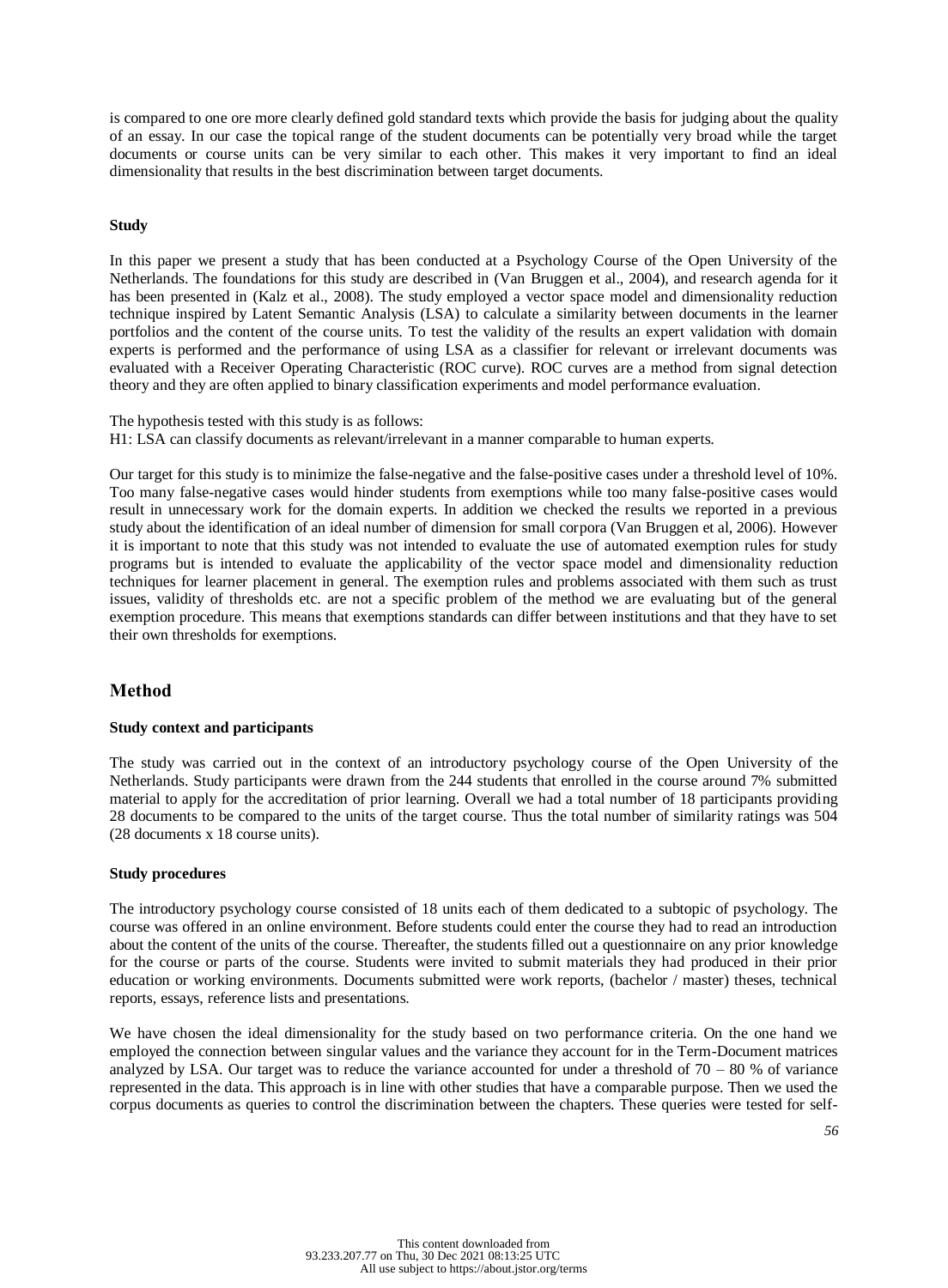is compared to one ore more clearly defined gold standard texts which provide the basis for judging about the quality of an essay. In our case the topical range of the student documents can be potentially very broad while the target documents or course units can be very similar to each other. This makes it very important to find an ideal dimensionality that results in the best discrimination between target documents.

## **Study**

In this paper we present a study that has been conducted at a Psychology Course of the Open University of the Netherlands. The foundations for this study are described in (Van Bruggen et al., 2004), and research agenda for it has been presented in (Kalz et al., 2008). The study employed a vector space model and dimensionality reduction technique inspired by Latent Semantic Analysis (LSA) to calculate a similarity between documents in the learner portfolios and the content of the course units. To test the validity of the results an expert validation with domain experts is performed and the performance of using LSA as a classifier for relevant or irrelevant documents was evaluated with a Receiver Operating Characteristic (ROC curve). ROC curves are a method from signal detection theory and they are often applied to binary classification experiments and model performance evaluation.

The hypothesis tested with this study is as follows: H1: LSA can classify documents as relevant/irrelevant in a manner comparable to human experts.

Our target for this study is to minimize the false-negative and the false-positive cases under a threshold level of 10%. Too many false-negative cases would hinder students from exemptions while too many false-positive cases would result in unnecessary work for the domain experts. In addition we checked the results we reported in a previous study about the identification of an ideal number of dimension for small corpora (Van Bruggen et al, 2006). However it is important to note that this study was not intended to evaluate the use of automated exemption rules for study programs but is intended to evaluate the applicability of the vector space model and dimensionality reduction techniques for learner placement in general. The exemption rules and problems associated with them such as trust issues, validity of thresholds etc. are not a specific problem of the method we are evaluating but of the general exemption procedure. This means that exemptions standards can differ between institutions and that they have to set their own thresholds for exemptions.

# **Method**

## **Study context and participants**

The study was carried out in the context of an introductory psychology course of the Open University of the Netherlands. Study participants were drawn from the 244 students that enrolled in the course around 7% submitted material to apply for the accreditation of prior learning. Overall we had a total number of 18 participants providing 28 documents to be compared to the units of the target course. Thus the total number of similarity ratings was 504 (28 documents x 18 course units).

# **Study procedures**

The introductory psychology course consisted of 18 units each of them dedicated to a subtopic of psychology. The course was offered in an online environment. Before students could enter the course they had to read an introduction about the content of the units of the course. Thereafter, the students filled out a questionnaire on any prior knowledge for the course or parts of the course. Students were invited to submit materials they had produced in their prior education or working environments. Documents submitted were work reports, (bachelor / master) theses, technical reports, essays, reference lists and presentations.

We have chosen the ideal dimensionality for the study based on two performance criteria. On the one hand we employed the connection between singular values and the variance they account for in the Term-Document matrices analyzed by LSA. Our target was to reduce the variance accounted for under a threshold of  $70 - 80$  % of variance represented in the data. This approach is in line with other studies that have a comparable purpose. Then we used the corpus documents as queries to control the discrimination between the chapters. These queries were tested for self-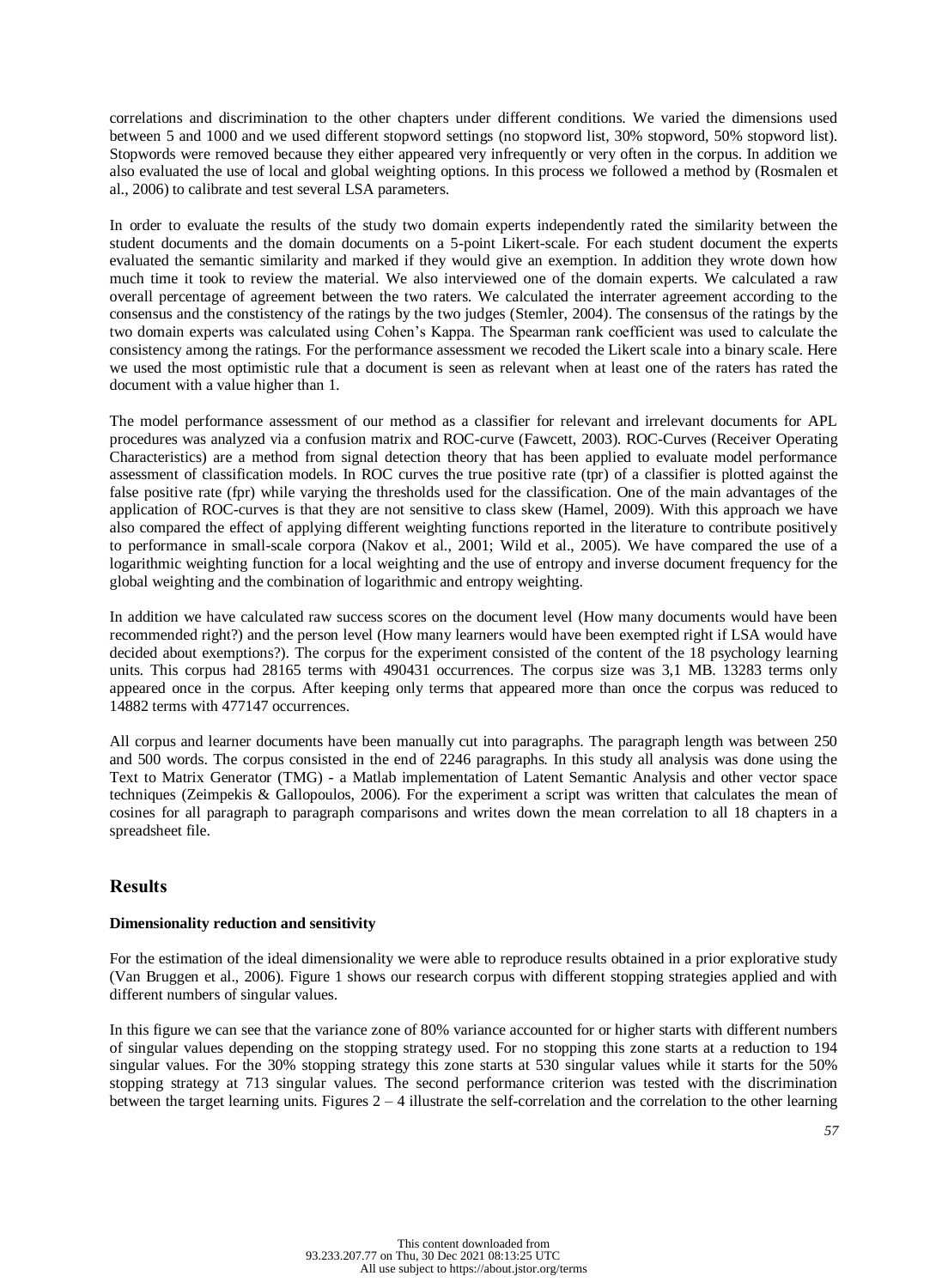correlations and discrimination to the other chapters under different conditions. We varied the dimensions used between 5 and 1000 and we used different stopword settings (no stopword list, 30% stopword, 50% stopword list). Stopwords were removed because they either appeared very infrequently or very often in the corpus. In addition we also evaluated the use of local and global weighting options. In this process we followed a method by (Rosmalen et al., 2006) to calibrate and test several LSA parameters.

In order to evaluate the results of the study two domain experts independently rated the similarity between the student documents and the domain documents on a 5-point Likert-scale. For each student document the experts evaluated the semantic similarity and marked if they would give an exemption. In addition they wrote down how much time it took to review the material. We also interviewed one of the domain experts. We calculated a raw overall percentage of agreement between the two raters. We calculated the interrater agreement according to the consensus and the constistency of the ratings by the two judges (Stemler, 2004). The consensus of the ratings by the two domain experts was calculated using Cohen's Kappa. The Spearman rank coefficient was used to calculate the consistency among the ratings. For the performance assessment we recoded the Likert scale into a binary scale. Here we used the most optimistic rule that a document is seen as relevant when at least one of the raters has rated the document with a value higher than 1.

The model performance assessment of our method as a classifier for relevant and irrelevant documents for APL procedures was analyzed via a confusion matrix and ROC-curve (Fawcett, 2003). ROC-Curves (Receiver Operating Characteristics) are a method from signal detection theory that has been applied to evaluate model performance assessment of classification models. In ROC curves the true positive rate (tpr) of a classifier is plotted against the false positive rate (fpr) while varying the thresholds used for the classification. One of the main advantages of the application of ROC-curves is that they are not sensitive to class skew (Hamel, 2009). With this approach we have also compared the effect of applying different weighting functions reported in the literature to contribute positively to performance in small-scale corpora (Nakov et al., 2001; Wild et al., 2005). We have compared the use of a logarithmic weighting function for a local weighting and the use of entropy and inverse document frequency for the global weighting and the combination of logarithmic and entropy weighting.

In addition we have calculated raw success scores on the document level (How many documents would have been recommended right?) and the person level (How many learners would have been exempted right if LSA would have decided about exemptions?). The corpus for the experiment consisted of the content of the 18 psychology learning units. This corpus had 28165 terms with 490431 occurrences. The corpus size was 3,1 MB. 13283 terms only appeared once in the corpus. After keeping only terms that appeared more than once the corpus was reduced to 14882 terms with 477147 occurrences.

All corpus and learner documents have been manually cut into paragraphs. The paragraph length was between 250 and 500 words. The corpus consisted in the end of 2246 paragraphs. In this study all analysis was done using the Text to Matrix Generator (TMG) - a Matlab implementation of Latent Semantic Analysis and other vector space techniques (Zeimpekis & Gallopoulos, 2006). For the experiment a script was written that calculates the mean of cosines for all paragraph to paragraph comparisons and writes down the mean correlation to all 18 chapters in a spreadsheet file.

# **Results**

## **Dimensionality reduction and sensitivity**

For the estimation of the ideal dimensionality we were able to reproduce results obtained in a prior explorative study (Van Bruggen et al., 2006). Figure 1 shows our research corpus with different stopping strategies applied and with different numbers of singular values.

In this figure we can see that the variance zone of 80% variance accounted for or higher starts with different numbers of singular values depending on the stopping strategy used. For no stopping this zone starts at a reduction to 194 singular values. For the 30% stopping strategy this zone starts at 530 singular values while it starts for the 50% stopping strategy at 713 singular values. The second performance criterion was tested with the discrimination between the target learning units. Figures  $2 - 4$  illustrate the self-correlation and the correlation to the other learning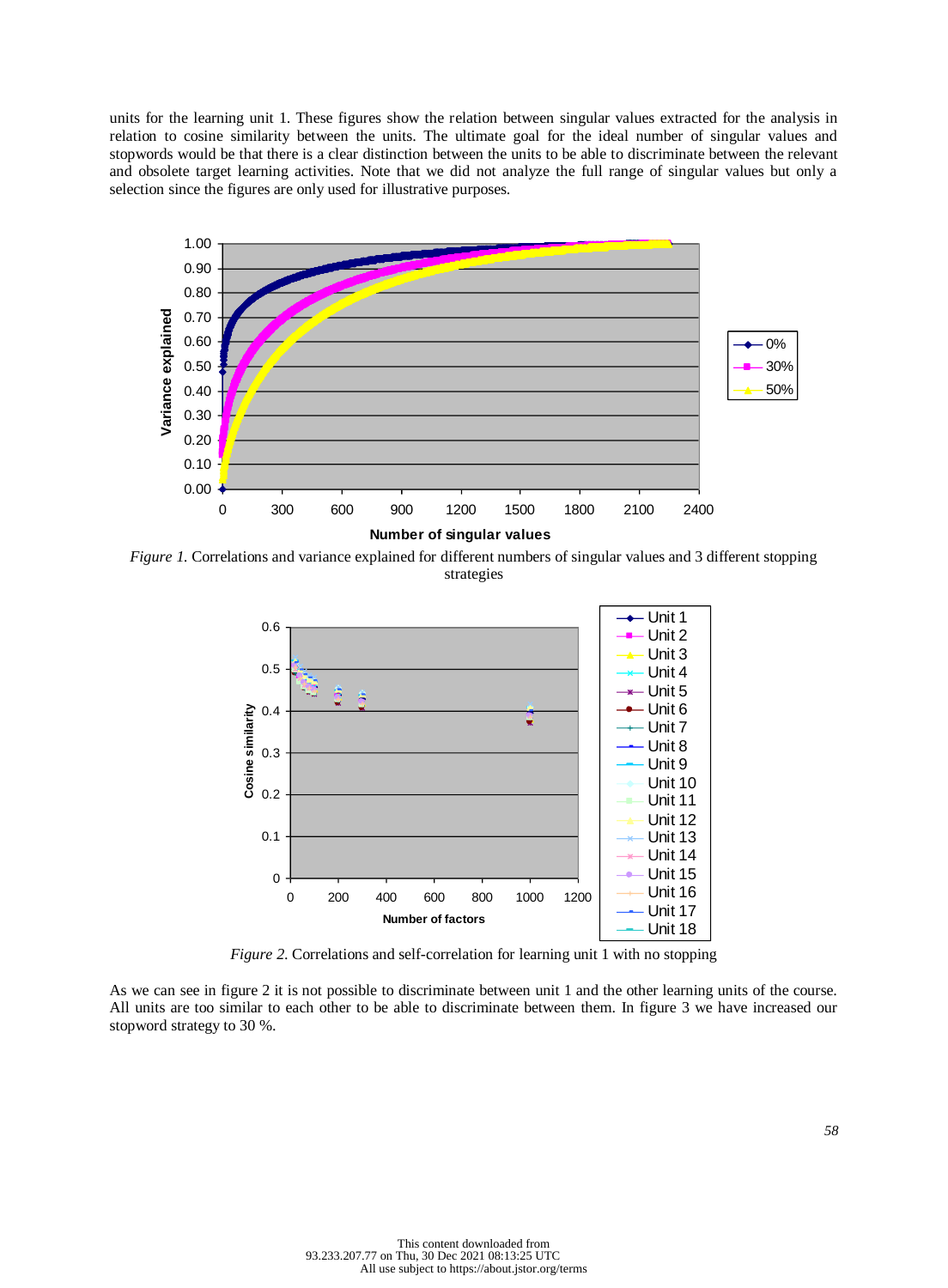units for the learning unit 1. These figures show the relation between singular values extracted for the analysis in relation to cosine similarity between the units. The ultimate goal for the ideal number of singular values and stopwords would be that there is a clear distinction between the units to be able to discriminate between the relevant and obsolete target learning activities. Note that we did not analyze the full range of singular values but only a selection since the figures are only used for illustrative purposes.



*Figure 1.* Correlations and variance explained for different numbers of singular values and 3 different stopping strategies



*Figure 2*. Correlations and self-correlation for learning unit 1 with no stopping

As we can see in figure 2 it is not possible to discriminate between unit 1 and the other learning units of the course. All units are too similar to each other to be able to discriminate between them. In figure 3 we have increased our stopword strategy to 30 %.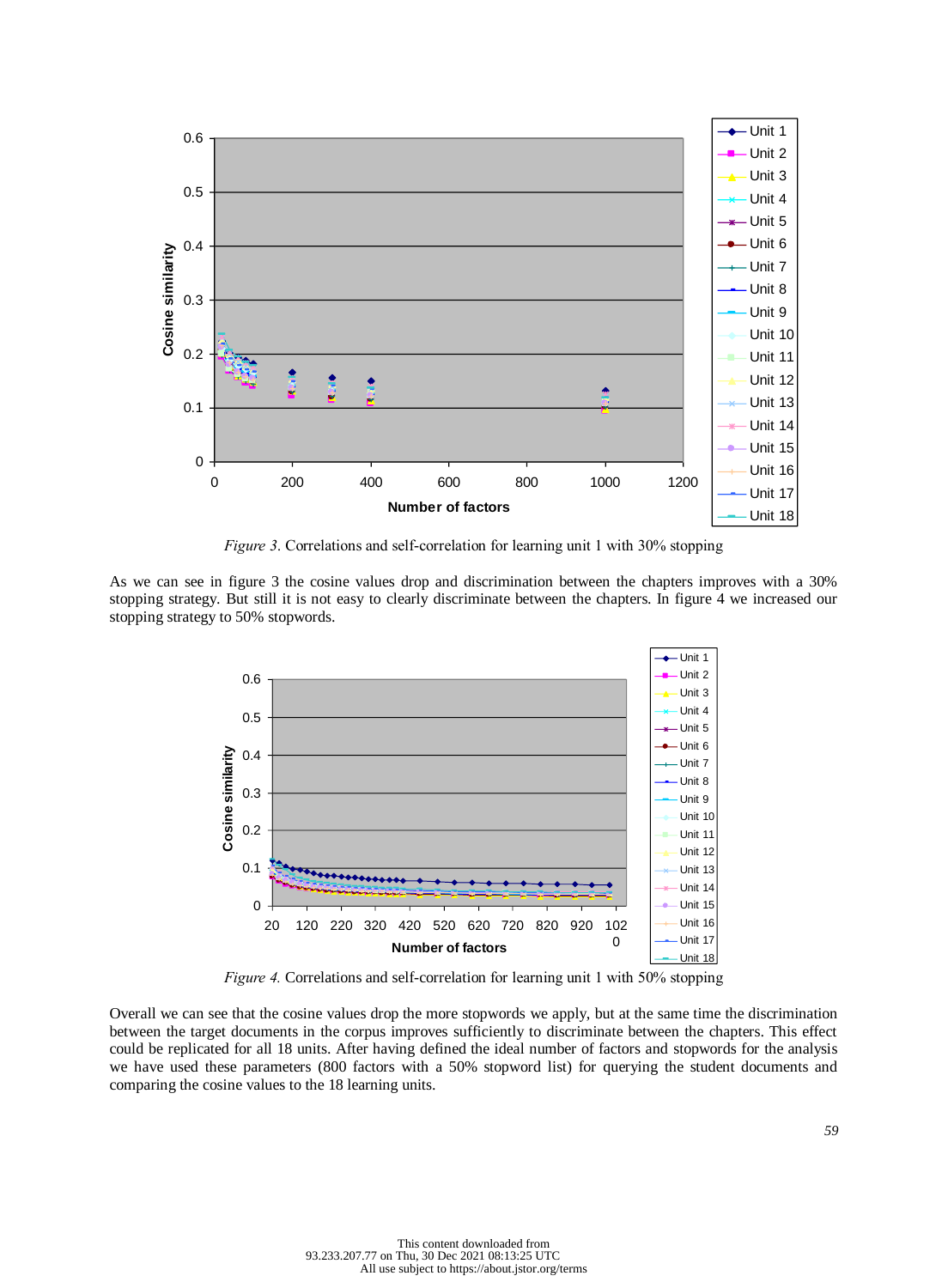

*Figure 3*. Correlations and self-correlation for learning unit 1 with 30% stopping

As we can see in figure 3 the cosine values drop and discrimination between the chapters improves with a 30% stopping strategy. But still it is not easy to clearly discriminate between the chapters. In figure 4 we increased our stopping strategy to 50% stopwords.



*Figure 4.* Correlations and self-correlation for learning unit 1 with 50% stopping

Overall we can see that the cosine values drop the more stopwords we apply, but at the same time the discrimination between the target documents in the corpus improves sufficiently to discriminate between the chapters. This effect could be replicated for all 18 units. After having defined the ideal number of factors and stopwords for the analysis we have used these parameters (800 factors with a 50% stopword list) for querying the student documents and comparing the cosine values to the 18 learning units.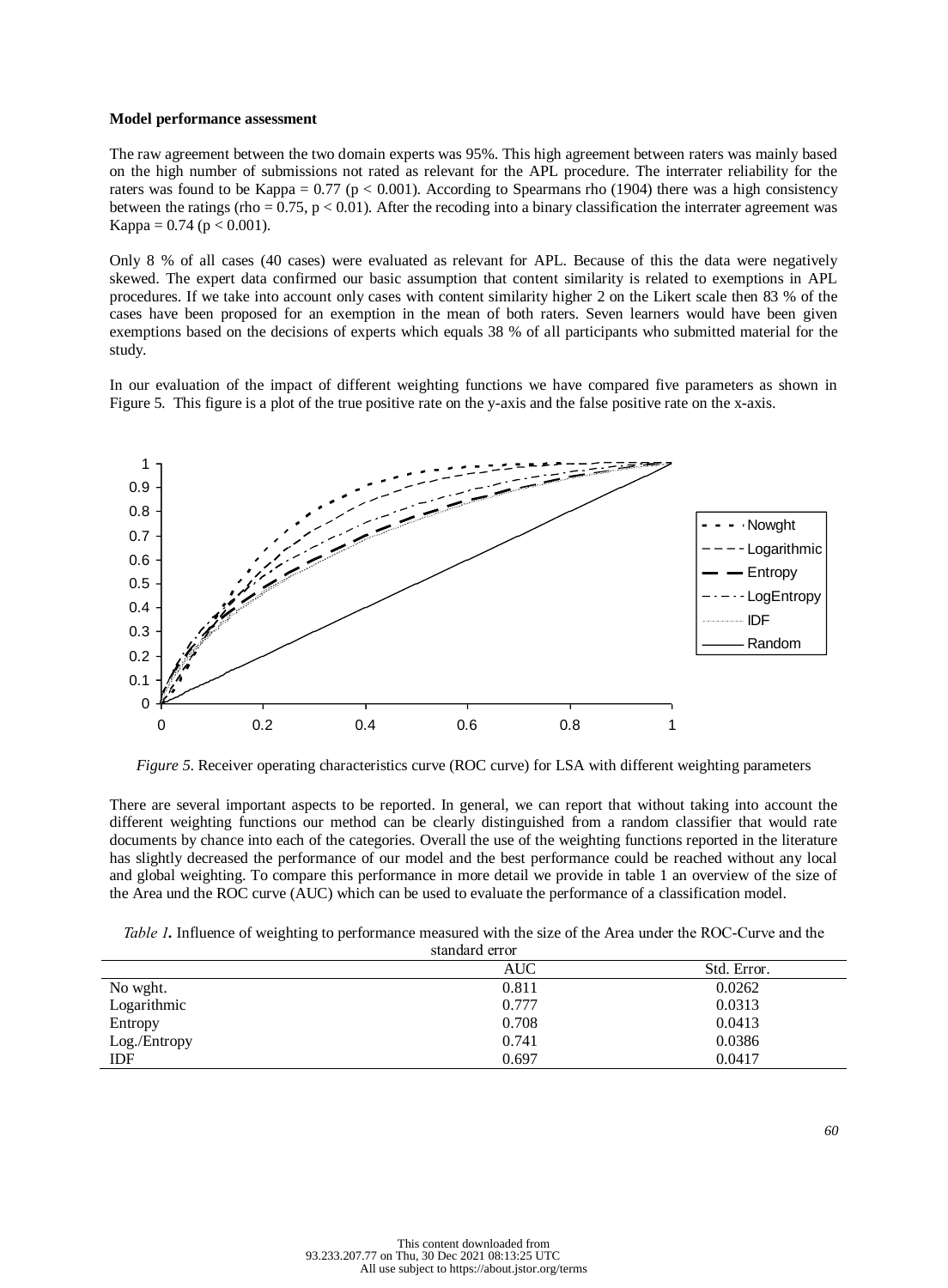#### **Model performance assessment**

The raw agreement between the two domain experts was 95%. This high agreement between raters was mainly based on the high number of submissions not rated as relevant for the APL procedure. The interrater reliability for the raters was found to be Kappa =  $0.77$  (p < 0.001). According to Spearmans rho (1904) there was a high consistency between the ratings (rho =  $0.75$ , p <  $0.01$ ). After the recoding into a binary classification the interrater agreement was Kappa =  $0.74$  (p < 0.001).

Only 8 % of all cases (40 cases) were evaluated as relevant for APL. Because of this the data were negatively skewed. The expert data confirmed our basic assumption that content similarity is related to exemptions in APL procedures. If we take into account only cases with content similarity higher 2 on the Likert scale then 83 % of the cases have been proposed for an exemption in the mean of both raters. Seven learners would have been given exemptions based on the decisions of experts which equals 38 % of all participants who submitted material for the study.

In our evaluation of the impact of different weighting functions we have compared five parameters as shown in Figure 5. This figure is a plot of the true positive rate on the y-axis and the false positive rate on the x-axis.



*Figure 5*. Receiver operating characteristics curve (ROC curve) for LSA with different weighting parameters

There are several important aspects to be reported. In general, we can report that without taking into account the different weighting functions our method can be clearly distinguished from a random classifier that would rate documents by chance into each of the categories. Overall the use of the weighting functions reported in the literature has slightly decreased the performance of our model and the best performance could be reached without any local and global weighting. To compare this performance in more detail we provide in table 1 an overview of the size of the Area und the ROC curve (AUC) which can be used to evaluate the performance of a classification model.

| Table 1. Influence of weighting to performance measured with the size of the Area under the ROC-Curve and the |  |
|---------------------------------------------------------------------------------------------------------------|--|
|---------------------------------------------------------------------------------------------------------------|--|

| standard error |       |             |  |
|----------------|-------|-------------|--|
|                | AUC   | Std. Error. |  |
| No wght.       | 0.811 | 0.0262      |  |
| Logarithmic    | 0.777 | 0.0313      |  |
| Entropy        | 0.708 | 0.0413      |  |
| Log./Entropy   | 0.741 | 0.0386      |  |
| <b>IDF</b>     | 0.697 | 0.0417      |  |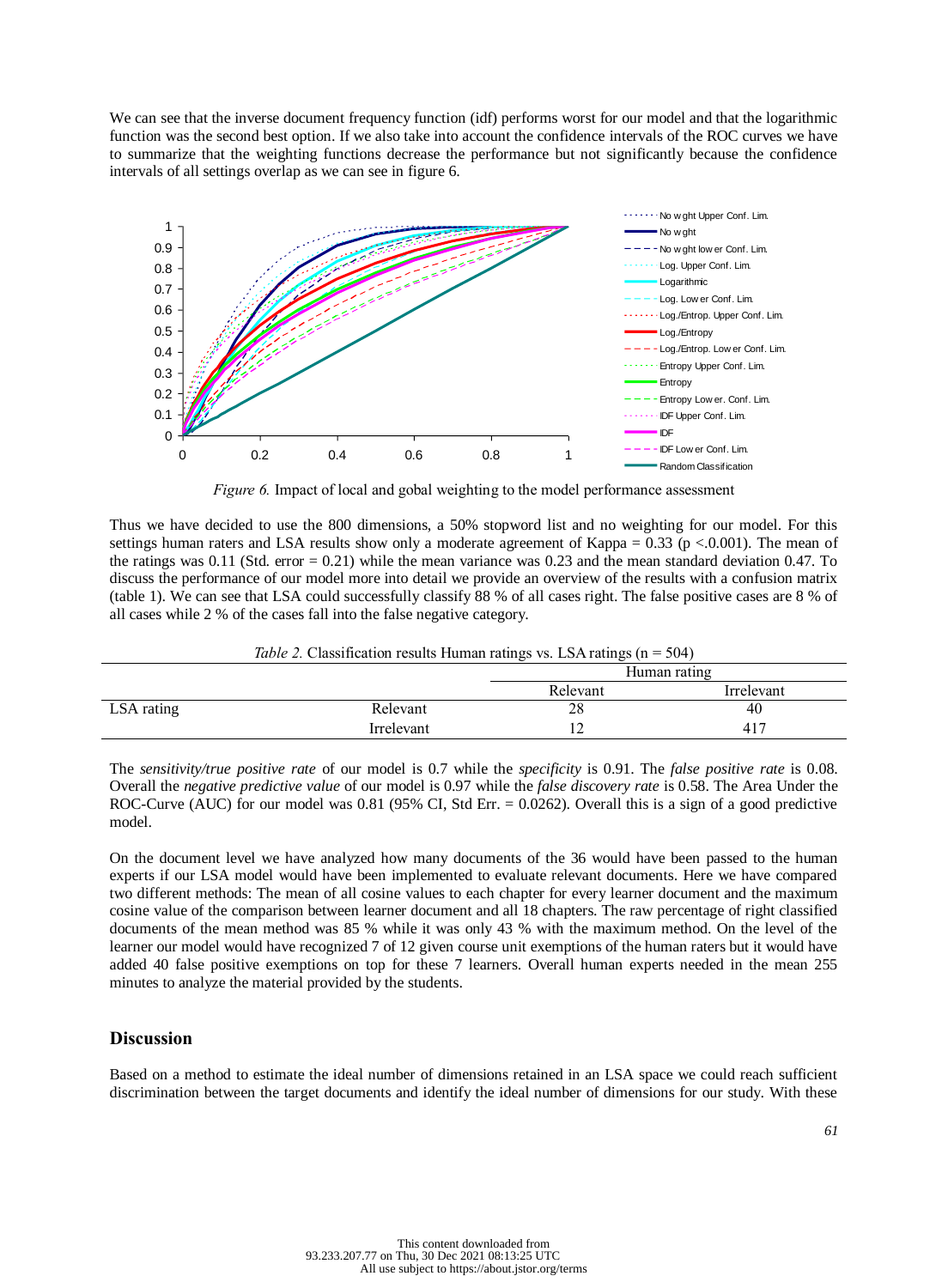We can see that the inverse document frequency function (idf) performs worst for our model and that the logarithmic function was the second best option. If we also take into account the confidence intervals of the ROC curves we have to summarize that the weighting functions decrease the performance but not significantly because the confidence intervals of all settings overlap as we can see in figure 6.



*Figure 6.* Impact of local and gobal weighting to the model performance assessment

Thus we have decided to use the 800 dimensions, a 50% stopword list and no weighting for our model. For this settings human raters and LSA results show only a moderate agreement of Kappa =  $0.33$  (p < 0.001). The mean of the ratings was 0.11 (Std. error = 0.21) while the mean variance was 0.23 and the mean standard deviation 0.47. To discuss the performance of our model more into detail we provide an overview of the results with a confusion matrix (table 1). We can see that LSA could successfully classify 88 % of all cases right. The false positive cases are 8 % of all cases while 2 % of the cases fall into the false negative category.

| <i>Table 2.</i> Classification results Human ratings vs. LSA ratings $(n = 504)$ |  |  |  |  |  |
|----------------------------------------------------------------------------------|--|--|--|--|--|
|                                                                                  |  |  |  |  |  |

|            |            | -<br>Human rating      |     |  |
|------------|------------|------------------------|-----|--|
|            |            | Relevant<br>Irrelevant |     |  |
| LSA rating | Relevant   | 28                     | 40  |  |
|            | Irrelevant |                        | 417 |  |

The *sensitivity/true positive rate* of our model is 0.7 while the *specificity* is 0.91. The *false positive rate* is 0.08. Overall the *negative predictive value* of our model is 0.97 while the *false discovery rate* is 0.58. The Area Under the ROC-Curve (AUC) for our model was 0.81 (95% CI, Std Err. = 0.0262). Overall this is a sign of a good predictive model.

On the document level we have analyzed how many documents of the 36 would have been passed to the human experts if our LSA model would have been implemented to evaluate relevant documents. Here we have compared two different methods: The mean of all cosine values to each chapter for every learner document and the maximum cosine value of the comparison between learner document and all 18 chapters. The raw percentage of right classified documents of the mean method was 85 % while it was only 43 % with the maximum method. On the level of the learner our model would have recognized 7 of 12 given course unit exemptions of the human raters but it would have added 40 false positive exemptions on top for these 7 learners. Overall human experts needed in the mean 255 minutes to analyze the material provided by the students.

# **Discussion**

Based on a method to estimate the ideal number of dimensions retained in an LSA space we could reach sufficient discrimination between the target documents and identify the ideal number of dimensions for our study. With these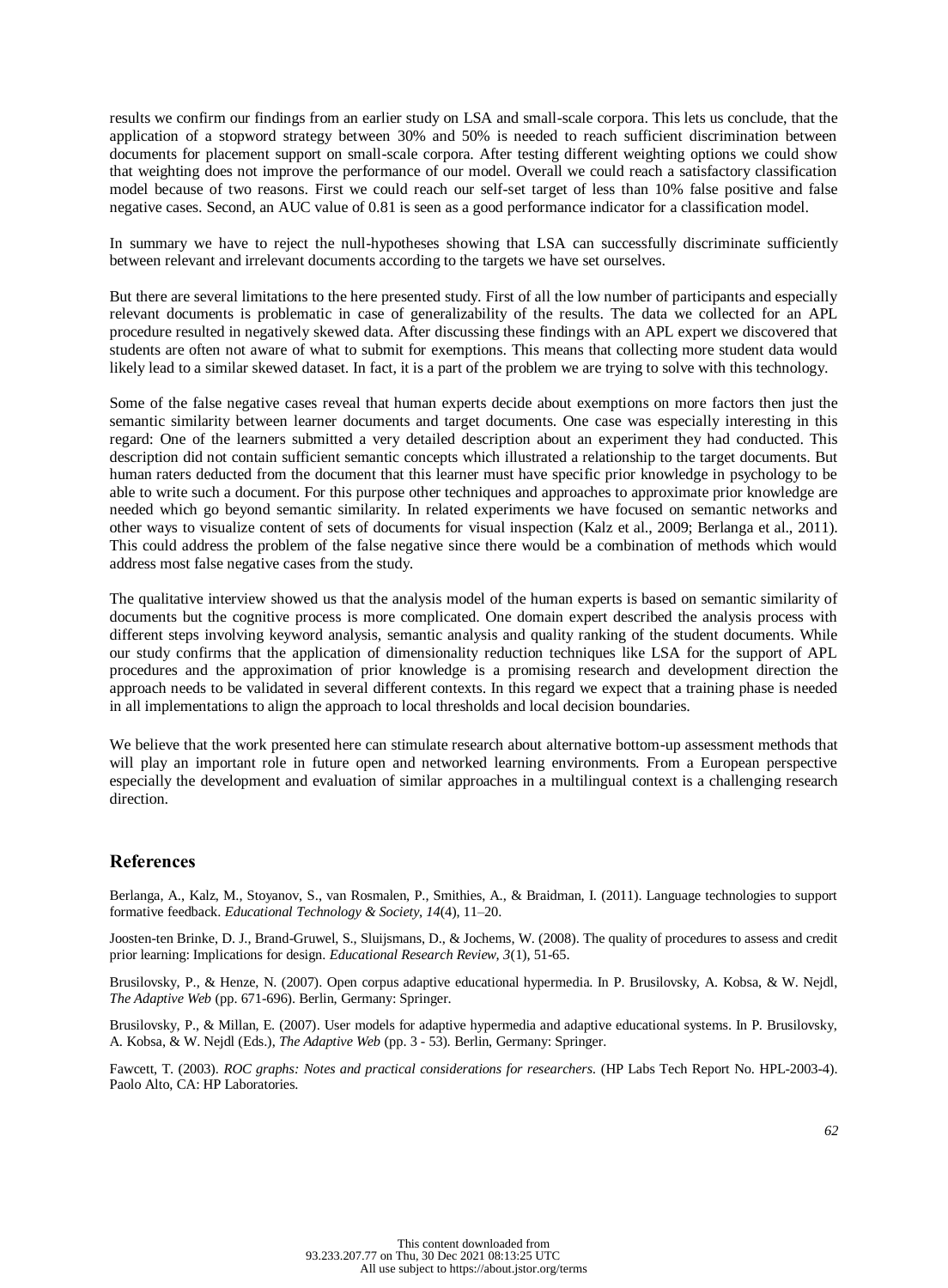results we confirm our findings from an earlier study on LSA and small-scale corpora. This lets us conclude, that the application of a stopword strategy between 30% and 50% is needed to reach sufficient discrimination between documents for placement support on small-scale corpora. After testing different weighting options we could show that weighting does not improve the performance of our model. Overall we could reach a satisfactory classification model because of two reasons. First we could reach our self-set target of less than 10% false positive and false negative cases. Second, an AUC value of 0.81 is seen as a good performance indicator for a classification model.

In summary we have to reject the null-hypotheses showing that LSA can successfully discriminate sufficiently between relevant and irrelevant documents according to the targets we have set ourselves.

But there are several limitations to the here presented study. First of all the low number of participants and especially relevant documents is problematic in case of generalizability of the results. The data we collected for an APL procedure resulted in negatively skewed data. After discussing these findings with an APL expert we discovered that students are often not aware of what to submit for exemptions. This means that collecting more student data would likely lead to a similar skewed dataset. In fact, it is a part of the problem we are trying to solve with this technology.

Some of the false negative cases reveal that human experts decide about exemptions on more factors then just the semantic similarity between learner documents and target documents. One case was especially interesting in this regard: One of the learners submitted a very detailed description about an experiment they had conducted. This description did not contain sufficient semantic concepts which illustrated a relationship to the target documents. But human raters deducted from the document that this learner must have specific prior knowledge in psychology to be able to write such a document. For this purpose other techniques and approaches to approximate prior knowledge are needed which go beyond semantic similarity. In related experiments we have focused on semantic networks and other ways to visualize content of sets of documents for visual inspection (Kalz et al., 2009; Berlanga et al., 2011). This could address the problem of the false negative since there would be a combination of methods which would address most false negative cases from the study.

The qualitative interview showed us that the analysis model of the human experts is based on semantic similarity of documents but the cognitive process is more complicated. One domain expert described the analysis process with different steps involving keyword analysis, semantic analysis and quality ranking of the student documents. While our study confirms that the application of dimensionality reduction techniques like LSA for the support of APL procedures and the approximation of prior knowledge is a promising research and development direction the approach needs to be validated in several different contexts. In this regard we expect that a training phase is needed in all implementations to align the approach to local thresholds and local decision boundaries.

We believe that the work presented here can stimulate research about alternative bottom-up assessment methods that will play an important role in future open and networked learning environments. From a European perspective especially the development and evaluation of similar approaches in a multilingual context is a challenging research direction.

# **References**

Berlanga, A., Kalz, M., Stoyanov, S., van Rosmalen, P., Smithies, A., & Braidman, I. (2011). Language technologies to support formative feedback. *Educational Technology & Society, 14*(4), 11–20.

Joosten-ten Brinke, D. J., Brand-Gruwel, S., Sluijsmans, D., & Jochems, W. (2008). The quality of procedures to assess and credit prior learning: Implications for design. *Educational Research Review, 3*(1), 51-65.

Brusilovsky, P., & Henze, N. (2007). Open corpus adaptive educational hypermedia. In P. Brusilovsky, A. Kobsa, & W. Nejdl, *The Adaptive Web* (pp. 671-696). Berlin, Germany: Springer.

Brusilovsky, P., & Millan, E. (2007). User models for adaptive hypermedia and adaptive educational systems. In P. Brusilovsky, A. Kobsa, & W. Nejdl (Eds.), *The Adaptive Web* (pp. 3 - 53). Berlin, Germany: Springer.

Fawcett, T. (2003). *ROC graphs: Notes and practical considerations for researchers.* (HP Labs Tech Report No. HPL-2003-4). Paolo Alto, CA: HP Laboratories.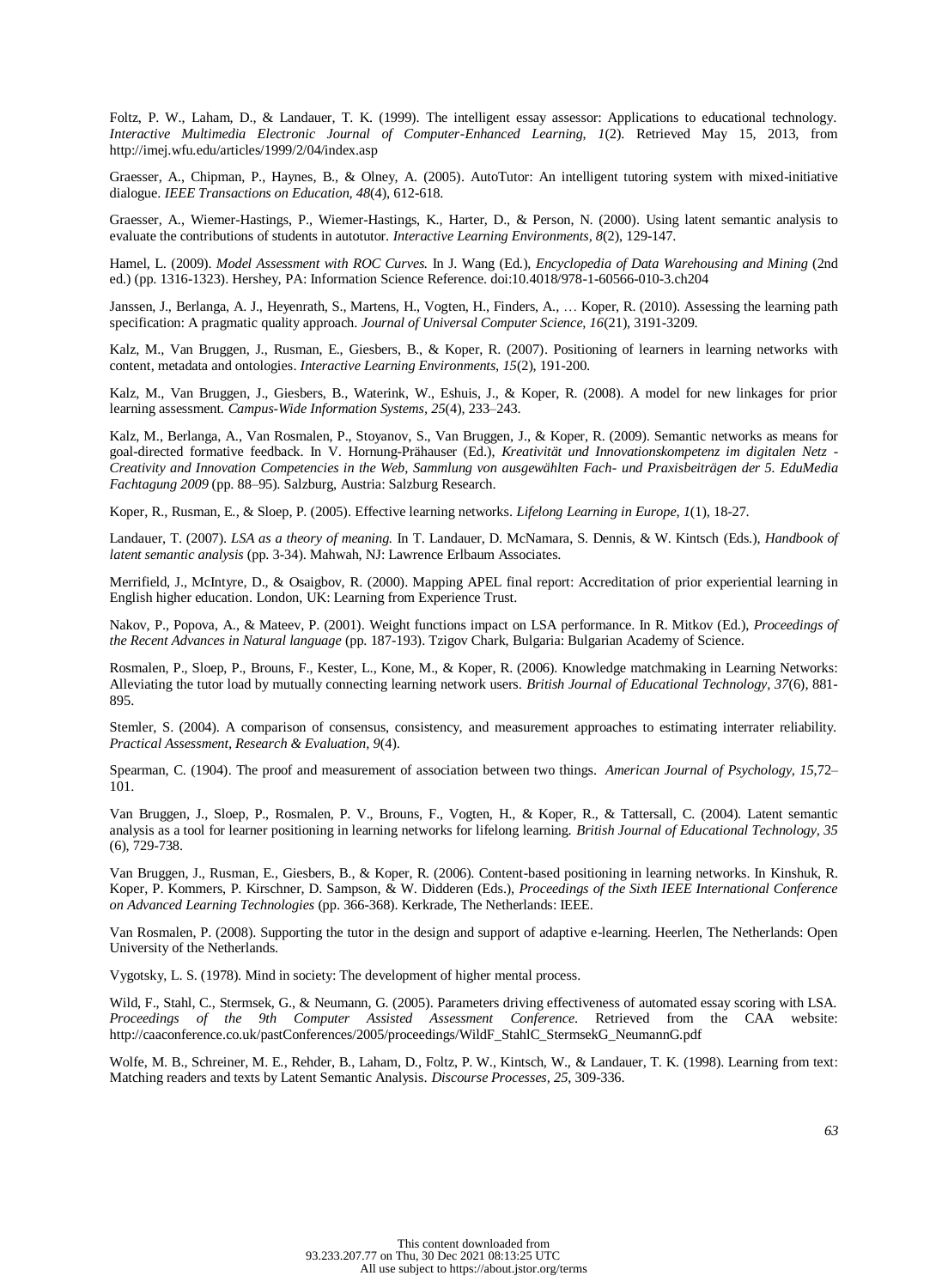Foltz, P. W., Laham, D., & Landauer, T. K. (1999). The intelligent essay assessor: Applications to educational technology. *Interactive Multimedia Electronic Journal of Computer-Enhanced Learning*, *1*(2). Retrieved May 15, 2013, from http://imej.wfu.edu/articles/1999/2/04/index.asp

Graesser, A., Chipman, P., Haynes, B., & Olney, A. (2005). AutoTutor: An intelligent tutoring system with mixed-initiative dialogue. *IEEE Transactions on Education, 48*(4), 612-618.

Graesser, A., Wiemer-Hastings, P., Wiemer-Hastings, K., Harter, D., & Person, N. (2000). Using latent semantic analysis to evaluate the contributions of students in autotutor. *Interactive Learning Environments, 8*(2), 129-147.

Hamel, L. (2009). *Model Assessment with ROC Curves.* In J. Wang (Ed.), *Encyclopedia of Data Warehousing and Mining* (2nd ed.) (pp. 1316-1323). Hershey, PA: Information Science Reference. doi:10.4018/978-1-60566-010-3.ch204

Janssen, J., Berlanga, A. J., Heyenrath, S., Martens, H., Vogten, H., Finders, A., … Koper, R. (2010). Assessing the learning path specification: A pragmatic quality approach. *Journal of Universal Computer Science, 16*(21), 3191-3209.

Kalz, M., Van Bruggen, J., Rusman, E., Giesbers, B., & Koper, R. (2007). Positioning of learners in learning networks with content, metadata and ontologies. *Interactive Learning Environments, 15*(2), 191-200.

Kalz, M., Van Bruggen, J., Giesbers, B., Waterink, W., Eshuis, J., & Koper, R. (2008). A model for new linkages for prior learning assessment. *Campus-Wide Information Systems, 25*(4), 233–243.

Kalz, M., Berlanga, A., Van Rosmalen, P., Stoyanov, S., Van Bruggen, J., & Koper, R. (2009). Semantic networks as means for goal-directed formative feedback. In V. Hornung-Prähauser (Ed.), *Kreativität und Innovationskompetenz im digitalen Netz - Creativity and Innovation Competencies in the Web, Sammlung von ausgewählten Fach- und Praxisbeiträgen der 5. EduMedia Fachtagung 2009* (pp. 88–95). Salzburg, Austria: Salzburg Research.

Koper, R., Rusman, E., & Sloep, P. (2005). Effective learning networks. *Lifelong Learning in Europe, 1*(1), 18-27.

Landauer, T. (2007). *LSA as a theory of meaning.* In T. Landauer, D. McNamara, S. Dennis, & W. Kintsch (Eds.), *Handbook of latent semantic analysis* (pp. 3-34). Mahwah, NJ: Lawrence Erlbaum Associates.

Merrifield, J., McIntyre, D., & Osaigbov, R. (2000). Mapping APEL final report: Accreditation of prior experiential learning in English higher education. London, UK: Learning from Experience Trust.

Nakov, P., Popova, A., & Mateev, P. (2001). Weight functions impact on LSA performance. In R. Mitkov (Ed.), *Proceedings of the Recent Advances in Natural language* (pp. 187-193). Tzigov Chark, Bulgaria: Bulgarian Academy of Science.

Rosmalen, P., Sloep, P., Brouns, F., Kester, L., Kone, M., & Koper, R. (2006). Knowledge matchmaking in Learning Networks: Alleviating the tutor load by mutually connecting learning network users. *British Journal of Educational Technology, 37*(6), 881- 895.

Stemler, S. (2004). A comparison of consensus, consistency, and measurement approaches to estimating interrater reliability. *Practical Assessment, Research & Evaluation, 9*(4).

Spearman, C. (1904). The proof and measurement of association between two things. *American Journal of Psychology, 15*,72– 101.

Van Bruggen, J., Sloep, P., Rosmalen, P. V., Brouns, F., Vogten, H., & Koper, R., & Tattersall, C. (2004). Latent semantic analysis as a tool for learner positioning in learning networks for lifelong learning. *British Journal of Educational Technology, 35* (6), 729-738.

Van Bruggen, J., Rusman, E., Giesbers, B., & Koper, R. (2006). Content-based positioning in learning networks. In Kinshuk, R. Koper, P. Kommers, P. Kirschner, D. Sampson, & W. Didderen (Eds.), *Proceedings of the Sixth IEEE International Conference on Advanced Learning Technologies* (pp. 366-368). Kerkrade, The Netherlands: IEEE.

Van Rosmalen, P. (2008). Supporting the tutor in the design and support of adaptive e-learning. Heerlen, The Netherlands: Open University of the Netherlands.

Vygotsky, L. S. (1978). Mind in society: The development of higher mental process.

Wild, F., Stahl, C., Stermsek, G., & Neumann, G. (2005). Parameters driving effectiveness of automated essay scoring with LSA. *Proceedings of the 9th Computer Assisted Assessment Conference*. Retrieved from the CAA website: http://caaconference.co.uk/pastConferences/2005/proceedings/WildF\_StahlC\_StermsekG\_NeumannG.pdf

Wolfe, M. B., Schreiner, M. E., Rehder, B., Laham, D., Foltz, P. W., Kintsch, W., & Landauer, T. K. (1998). Learning from text: Matching readers and texts by Latent Semantic Analysis. *Discourse Processes, 25*, 309-336.